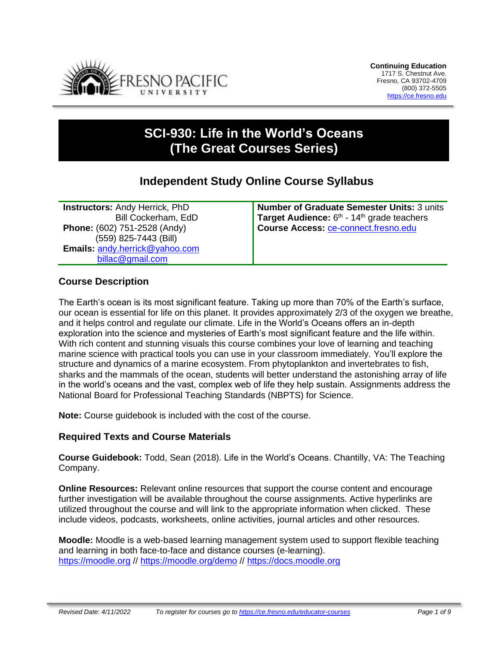

# **SCI-930: Life in the World's Oceans (The Great Courses Series)**

## **Independent Study Online Course Syllabus**

**Instructors:** Andy Herrick, PhD Bill Cockerham, EdD **Phone:** (602) 751-2528 (Andy) (559) 825-7443 (Bill) **Emails:** [andy.herrick@yahoo.com](mailto:andy.herrick@yahoo.com) [billac@gmail.com](mailto:billac@gmail.com)

**Number of Graduate Semester Units:** 3 units Target Audience: 6<sup>th</sup> - 14<sup>th</sup> grade teachers **Course Access:** [ce-connect.fresno.edu](https://ce-connect.fresno.edu/)

## **Course Description**

The Earth's ocean is its most significant feature. Taking up more than 70% of the Earth's surface, our ocean is essential for life on this planet. It provides approximately 2/3 of the oxygen we breathe, and it helps control and regulate our climate. Life in the World's Oceans offers an in-depth exploration into the science and mysteries of Earth's most significant feature and the life within. With rich content and stunning visuals this course combines your love of learning and teaching marine science with practical tools you can use in your classroom immediately. You'll explore the structure and dynamics of a marine ecosystem. From phytoplankton and invertebrates to fish, sharks and the mammals of the ocean, students will better understand the astonishing array of life in the world's oceans and the vast, complex web of life they help sustain. Assignments address the National Board for Professional Teaching Standards (NBPTS) for Science.

**Note:** Course guidebook is included with the cost of the course.

#### **Required Texts and Course Materials**

**Course Guidebook:** Todd, Sean (2018). Life in the World's Oceans. Chantilly, VA: The Teaching Company.

**Online Resources:** Relevant online resources that support the course content and encourage further investigation will be available throughout the course assignments. Active hyperlinks are utilized throughout the course and will link to the appropriate information when clicked. These include videos, podcasts, worksheets, online activities, journal articles and other resources.

**Moodle:** Moodle is a web-based learning management system used to support flexible teaching and learning in both face-to-face and distance courses (e-learning). [https://moodle.org](https://moodle.org/) // <https://moodle.org/demo> // [https://docs.moodle.org](https://docs.moodle.org/)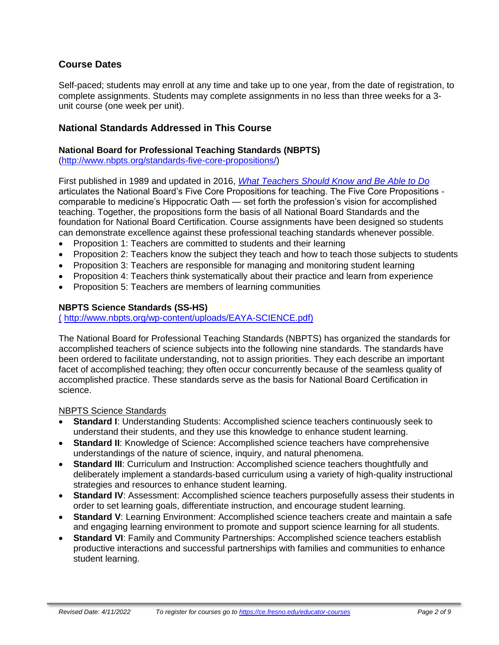## **Course Dates**

Self-paced; students may enroll at any time and take up to one year, from the date of registration, to complete assignments. Students may complete assignments in no less than three weeks for a 3 unit course (one week per unit).

## **National Standards Addressed in This Course**

#### **National Board for Professional Teaching Standards (NBPTS)**

[\(http://www.nbpts.org/standards-five-core-propositions/\)](http://www.nbpts.org/standards-five-core-propositions/)

First published in 1989 and updated in 2016, *[What Teachers Should Know and Be Able to Do](http://www.accomplishedteacher.org/)* articulates the National Board's Five Core Propositions for teaching. The Five Core Propositions comparable to medicine's Hippocratic Oath — set forth the profession's vision for accomplished teaching. Together, the propositions form the basis of all National Board Standards and the foundation for National Board Certification. Course assignments have been designed so students can demonstrate excellence against these professional teaching standards whenever possible.

- Proposition 1: Teachers are committed to students and their learning
- Proposition 2: Teachers know the subject they teach and how to teach those subjects to students
- Proposition 3: Teachers are responsible for managing and monitoring student learning
- Proposition 4: Teachers think systematically about their practice and learn from experience
- Proposition 5: Teachers are members of learning communities

#### **NBPTS Science Standards (SS-HS)**

( [http://www.nbpts.org/wp-content/uploads/EAYA-SCIENCE.pdf\)](file:///C:/Users/billa/AppData/Local/Packages/Microsoft.MicrosoftEdge_8wekyb3d8bbwe/TempState/Downloads/(http:/www.nbpts.org/wp-content/uploads/EAYA-SSH.pdf))

The National Board for Professional Teaching Standards (NBPTS) has organized the standards for accomplished teachers of science subjects into the following nine standards. The standards have been ordered to facilitate understanding, not to assign priorities. They each describe an important facet of accomplished teaching; they often occur concurrently because of the seamless quality of accomplished practice. These standards serve as the basis for National Board Certification in science.

#### NBPTS Science Standards

- **Standard I:** Understanding Students: Accomplished science teachers continuously seek to understand their students, and they use this knowledge to enhance student learning.
- **Standard II**: Knowledge of Science: Accomplished science teachers have comprehensive understandings of the nature of science, inquiry, and natural phenomena.
- **Standard III**: Curriculum and Instruction: Accomplished science teachers thoughtfully and deliberately implement a standards-based curriculum using a variety of high-quality instructional strategies and resources to enhance student learning.
- **Standard IV**: Assessment: Accomplished science teachers purposefully assess their students in order to set learning goals, differentiate instruction, and encourage student learning.
- **Standard V**: Learning Environment: Accomplished science teachers create and maintain a safe and engaging learning environment to promote and support science learning for all students.
- **Standard VI**: Family and Community Partnerships: Accomplished science teachers establish productive interactions and successful partnerships with families and communities to enhance student learning.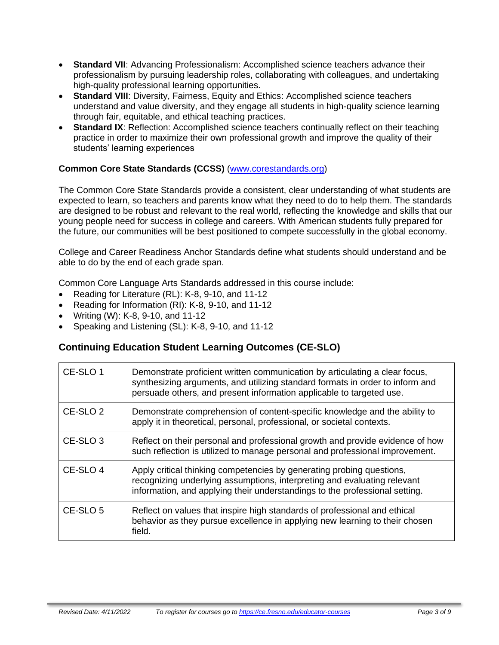- **Standard VII**: Advancing Professionalism: Accomplished science teachers advance their professionalism by pursuing leadership roles, collaborating with colleagues, and undertaking high-quality professional learning opportunities.
- **Standard VIII**: Diversity, Fairness, Equity and Ethics: Accomplished science teachers understand and value diversity, and they engage all students in high-quality science learning through fair, equitable, and ethical teaching practices.
- **Standard IX:** Reflection: Accomplished science teachers continually reflect on their teaching practice in order to maximize their own professional growth and improve the quality of their students' learning experiences

#### **Common Core State Standards (CCSS)** [\(www.corestandards.org\)](http://www.corestandards.org/)

The Common Core State Standards provide a consistent, clear understanding of what students are expected to learn, so teachers and parents know what they need to do to help them. The standards are designed to be robust and relevant to the real world, reflecting the knowledge and skills that our young people need for success in college and careers. With American students fully prepared for the future, our communities will be best positioned to compete successfully in the global economy.

College and Career Readiness Anchor Standards define what students should understand and be able to do by the end of each grade span.

Common Core Language Arts Standards addressed in this course include:

- Reading for Literature (RL): K-8, 9-10, and 11-12
- Reading for Information (RI): K-8, 9-10, and 11-12
- Writing (W): K-8, 9-10, and 11-12
- Speaking and Listening (SL): K-8, 9-10, and 11-12

## **Continuing Education Student Learning Outcomes (CE-SLO)**

| CE-SLO 1            | Demonstrate proficient written communication by articulating a clear focus,<br>synthesizing arguments, and utilizing standard formats in order to inform and<br>persuade others, and present information applicable to targeted use. |
|---------------------|--------------------------------------------------------------------------------------------------------------------------------------------------------------------------------------------------------------------------------------|
| CE-SLO <sub>2</sub> | Demonstrate comprehension of content-specific knowledge and the ability to<br>apply it in theoretical, personal, professional, or societal contexts.                                                                                 |
| CE-SLO <sub>3</sub> | Reflect on their personal and professional growth and provide evidence of how<br>such reflection is utilized to manage personal and professional improvement.                                                                        |
| CE-SLO <sub>4</sub> | Apply critical thinking competencies by generating probing questions,<br>recognizing underlying assumptions, interpreting and evaluating relevant<br>information, and applying their understandings to the professional setting.     |
| CE-SLO 5            | Reflect on values that inspire high standards of professional and ethical<br>behavior as they pursue excellence in applying new learning to their chosen<br>field.                                                                   |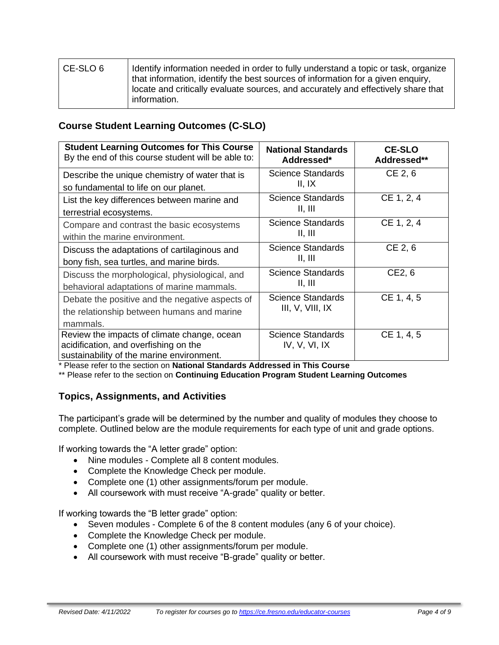| CE-SLO 6 | Identify information needed in order to fully understand a topic or task, organize<br>that information, identify the best sources of information for a given enguiry,<br>locate and critically evaluate sources, and accurately and effectively share that<br>information. |
|----------|----------------------------------------------------------------------------------------------------------------------------------------------------------------------------------------------------------------------------------------------------------------------------|
|----------|----------------------------------------------------------------------------------------------------------------------------------------------------------------------------------------------------------------------------------------------------------------------------|

## **Course Student Learning Outcomes (C-SLO)**

| <b>Student Learning Outcomes for This Course</b><br>By the end of this course student will be able to:                            | <b>National Standards</b><br>Addressed*   | <b>CE-SLO</b><br>Addressed** |
|-----------------------------------------------------------------------------------------------------------------------------------|-------------------------------------------|------------------------------|
| Describe the unique chemistry of water that is<br>so fundamental to life on our planet.                                           | Science Standards<br>II, IX               | CE 2, 6                      |
| List the key differences between marine and<br>terrestrial ecosystems.                                                            | Science Standards<br>II, III              | CE 1, 2, 4                   |
| Compare and contrast the basic ecosystems<br>within the marine environment.                                                       | <b>Science Standards</b><br>II, III       | CE 1, 2, 4                   |
| Discuss the adaptations of cartilaginous and<br>bony fish, sea turtles, and marine birds.                                         | Science Standards<br>II, III              | CE 2, 6                      |
| Discuss the morphological, physiological, and<br>behavioral adaptations of marine mammals.                                        | <b>Science Standards</b><br>II, III       | CE2, 6                       |
| Debate the positive and the negative aspects of<br>the relationship between humans and marine<br>mammals.                         | Science Standards<br>III, V, VIII, IX     | CE 1, 4, 5                   |
| Review the impacts of climate change, ocean<br>acidification, and overfishing on the<br>sustainability of the marine environment. | <b>Science Standards</b><br>IV, V, VI, IX | CE 1, 4, 5                   |

\* Please refer to the section on **National Standards Addressed in This Course**

\*\* Please refer to the section on **Continuing Education Program Student Learning Outcomes**

#### **Topics, Assignments, and Activities**

The participant's grade will be determined by the number and quality of modules they choose to complete. Outlined below are the module requirements for each type of unit and grade options.

If working towards the "A letter grade" option:

- Nine modules Complete all 8 content modules.
- Complete the Knowledge Check per module.
- Complete one (1) other assignments/forum per module.
- All coursework with must receive "A-grade" quality or better.

If working towards the "B letter grade" option:

- Seven modules Complete 6 of the 8 content modules (any 6 of your choice).
- Complete the Knowledge Check per module.
- Complete one (1) other assignments/forum per module.
- All coursework with must receive "B-grade" quality or better.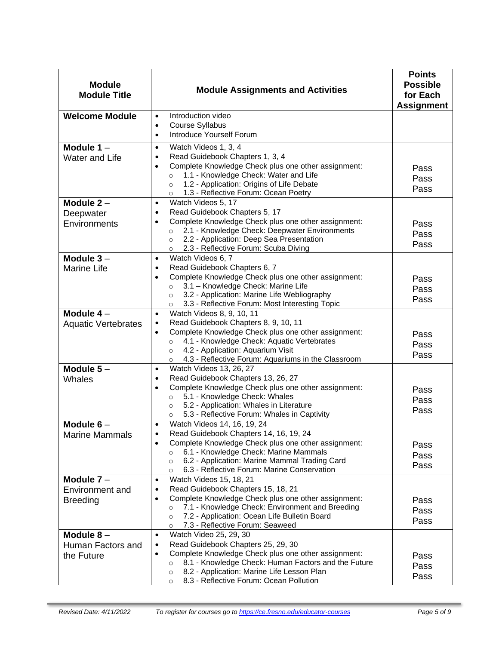| <b>Module</b><br><b>Module Title</b>               | <b>Module Assignments and Activities</b>                                                                                                                                                                                                                                                                                                    | <b>Points</b><br><b>Possible</b><br>for Each<br><b>Assignment</b> |
|----------------------------------------------------|---------------------------------------------------------------------------------------------------------------------------------------------------------------------------------------------------------------------------------------------------------------------------------------------------------------------------------------------|-------------------------------------------------------------------|
| <b>Welcome Module</b>                              | Introduction video<br>$\bullet$<br>Course Syllabus<br>$\bullet$<br>Introduce Yourself Forum<br>$\bullet$                                                                                                                                                                                                                                    |                                                                   |
| Module $1 -$<br>Water and Life                     | Watch Videos 1, 3, 4<br>$\bullet$<br>Read Guidebook Chapters 1, 3, 4<br>$\bullet$<br>Complete Knowledge Check plus one other assignment:<br>$\bullet$<br>1.1 - Knowledge Check: Water and Life<br>$\circ$<br>1.2 - Application: Origins of Life Debate<br>$\circ$<br>1.3 - Reflective Forum: Ocean Poetry<br>$\circ$                        | Pass<br>Pass<br>Pass                                              |
| Module $2 -$<br>Deepwater<br>Environments          | Watch Videos 5, 17<br>$\bullet$<br>Read Guidebook Chapters 5, 17<br>$\bullet$<br>Complete Knowledge Check plus one other assignment:<br>$\bullet$<br>2.1 - Knowledge Check: Deepwater Environments<br>$\circ$<br>2.2 - Application: Deep Sea Presentation<br>$\circ$<br>2.3 - Reflective Forum: Scuba Diving<br>$\circ$                     | Pass<br>Pass<br>Pass                                              |
| Module $3-$<br><b>Marine Life</b>                  | Watch Videos 6, 7<br>$\bullet$<br>Read Guidebook Chapters 6, 7<br>٠<br>Complete Knowledge Check plus one other assignment:<br>$\bullet$<br>3.1 - Knowledge Check: Marine Life<br>$\circ$<br>3.2 - Application: Marine Life Webliography<br>$\circ$<br>3.3 - Reflective Forum: Most Interesting Topic<br>$\circ$                             | Pass<br>Pass<br>Pass                                              |
| Module 4-<br><b>Aquatic Vertebrates</b>            | Watch Videos 8, 9, 10, 11<br>$\bullet$<br>Read Guidebook Chapters 8, 9, 10, 11<br>$\bullet$<br>Complete Knowledge Check plus one other assignment:<br>$\bullet$<br>4.1 - Knowledge Check: Aquatic Vertebrates<br>$\circ$<br>4.2 - Application: Aquarium Visit<br>$\circ$<br>4.3 - Reflective Forum: Aquariums in the Classroom<br>$\circ$   | Pass<br>Pass<br>Pass                                              |
| Module $5-$<br>Whales                              | Watch Videos 13, 26, 27<br>$\bullet$<br>Read Guidebook Chapters 13, 26, 27<br>$\bullet$<br>Complete Knowledge Check plus one other assignment:<br>$\bullet$<br>5.1 - Knowledge Check: Whales<br>$\circ$<br>5.2 - Application: Whales in Literature<br>$\circ$<br>5.3 - Reflective Forum: Whales in Captivity<br>$\circ$                     | Pass<br>Pass<br>Pass                                              |
| Module $6-$<br><b>Marine Mammals</b>               | Watch Videos 14, 16, 19, 24<br>Read Guidebook Chapters 14, 16, 19, 24<br>Complete Knowledge Check plus one other assignment:<br>$\bullet$<br>6.1 - Knowledge Check: Marine Mammals<br>$\circ$<br>6.2 - Application: Marine Mammal Trading Card<br>$\circ$<br>6.3 - Reflective Forum: Marine Conservation<br>$\circ$                         | Pass<br>Pass<br>Pass                                              |
| Module $7 -$<br>Environment and<br><b>Breeding</b> | Watch Videos 15, 18, 21<br>$\bullet$<br>Read Guidebook Chapters 15, 18, 21<br>$\bullet$<br>Complete Knowledge Check plus one other assignment:<br>$\bullet$<br>7.1 - Knowledge Check: Environment and Breeding<br>$\circ$<br>7.2 - Application: Ocean Life Bulletin Board<br>$\circ$<br>7.3 - Reflective Forum: Seaweed<br>$\circ$          | Pass<br>Pass<br>Pass                                              |
| Module $8-$<br>Human Factors and<br>the Future     | Watch Video 25, 29, 30<br>$\bullet$<br>Read Guidebook Chapters 25, 29, 30<br>$\bullet$<br>Complete Knowledge Check plus one other assignment:<br>$\bullet$<br>8.1 - Knowledge Check: Human Factors and the Future<br>$\circ$<br>8.2 - Application: Marine Life Lesson Plan<br>$\circ$<br>8.3 - Reflective Forum: Ocean Pollution<br>$\circ$ | Pass<br>Pass<br>Pass                                              |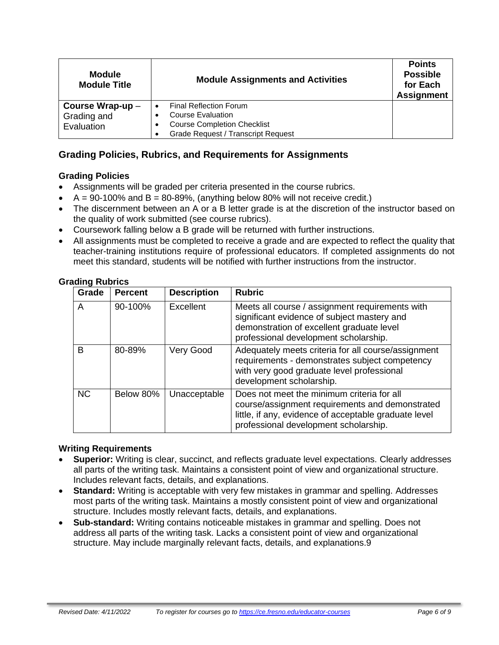| <b>Module</b><br><b>Module Title</b> | <b>Module Assignments and Activities</b>  | <b>Points</b><br><b>Possible</b><br>for Each<br><b>Assignment</b> |
|--------------------------------------|-------------------------------------------|-------------------------------------------------------------------|
| Course Wrap-up-                      | <b>Final Reflection Forum</b>             |                                                                   |
| Grading and                          | Course Evaluation                         |                                                                   |
| Evaluation                           | <b>Course Completion Checklist</b>        |                                                                   |
|                                      | <b>Grade Request / Transcript Request</b> |                                                                   |

## **Grading Policies, Rubrics, and Requirements for Assignments**

#### **Grading Policies**

- Assignments will be graded per criteria presented in the course rubrics.
- $A = 90-100\%$  and  $B = 80-89\%$ , (anything below 80% will not receive credit.)
- The discernment between an A or a B letter grade is at the discretion of the instructor based on the quality of work submitted (see course rubrics).
- Coursework falling below a B grade will be returned with further instructions.
- All assignments must be completed to receive a grade and are expected to reflect the quality that teacher-training institutions require of professional educators. If completed assignments do not meet this standard, students will be notified with further instructions from the instructor.

#### **Grading Rubrics**

| Grade     | <b>Percent</b> | <b>Description</b> | <b>Rubric</b>                                                                                                                                                                                   |
|-----------|----------------|--------------------|-------------------------------------------------------------------------------------------------------------------------------------------------------------------------------------------------|
| A         | 90-100%        | Excellent          | Meets all course / assignment requirements with<br>significant evidence of subject mastery and<br>demonstration of excellent graduate level<br>professional development scholarship.            |
| B         | 80-89%         | Very Good          | Adequately meets criteria for all course/assignment<br>requirements - demonstrates subject competency<br>with very good graduate level professional<br>development scholarship.                 |
| <b>NC</b> | Below 80%      | Unacceptable       | Does not meet the minimum criteria for all<br>course/assignment requirements and demonstrated<br>little, if any, evidence of acceptable graduate level<br>professional development scholarship. |

#### **Writing Requirements**

- **Superior:** Writing is clear, succinct, and reflects graduate level expectations. Clearly addresses all parts of the writing task. Maintains a consistent point of view and organizational structure. Includes relevant facts, details, and explanations.
- **Standard:** Writing is acceptable with very few mistakes in grammar and spelling. Addresses most parts of the writing task. Maintains a mostly consistent point of view and organizational structure. Includes mostly relevant facts, details, and explanations.
- **Sub-standard:** Writing contains noticeable mistakes in grammar and spelling. Does not address all parts of the writing task. Lacks a consistent point of view and organizational structure. May include marginally relevant facts, details, and explanations.9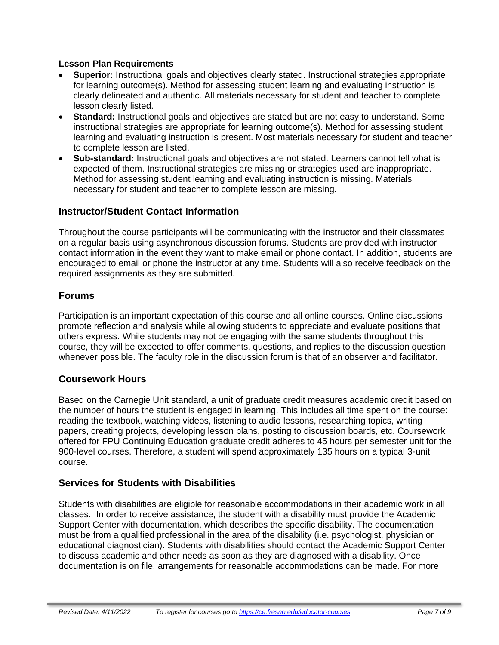#### **Lesson Plan Requirements**

- **Superior:** Instructional goals and objectives clearly stated. Instructional strategies appropriate for learning outcome(s). Method for assessing student learning and evaluating instruction is clearly delineated and authentic. All materials necessary for student and teacher to complete lesson clearly listed.
- **Standard:** Instructional goals and objectives are stated but are not easy to understand. Some instructional strategies are appropriate for learning outcome(s). Method for assessing student learning and evaluating instruction is present. Most materials necessary for student and teacher to complete lesson are listed.
- **Sub-standard:** Instructional goals and objectives are not stated. Learners cannot tell what is expected of them. Instructional strategies are missing or strategies used are inappropriate. Method for assessing student learning and evaluating instruction is missing. Materials necessary for student and teacher to complete lesson are missing.

## **Instructor/Student Contact Information**

Throughout the course participants will be communicating with the instructor and their classmates on a regular basis using asynchronous discussion forums. Students are provided with instructor contact information in the event they want to make email or phone contact. In addition, students are encouraged to email or phone the instructor at any time. Students will also receive feedback on the required assignments as they are submitted.

#### **Forums**

Participation is an important expectation of this course and all online courses. Online discussions promote reflection and analysis while allowing students to appreciate and evaluate positions that others express. While students may not be engaging with the same students throughout this course, they will be expected to offer comments, questions, and replies to the discussion question whenever possible. The faculty role in the discussion forum is that of an observer and facilitator.

#### **Coursework Hours**

Based on the Carnegie Unit standard, a unit of graduate credit measures academic credit based on the number of hours the student is engaged in learning. This includes all time spent on the course: reading the textbook, watching videos, listening to audio lessons, researching topics, writing papers, creating projects, developing lesson plans, posting to discussion boards, etc. Coursework offered for FPU Continuing Education graduate credit adheres to 45 hours per semester unit for the 900-level courses. Therefore, a student will spend approximately 135 hours on a typical 3-unit course.

#### **Services for Students with Disabilities**

Students with disabilities are eligible for reasonable accommodations in their academic work in all classes. In order to receive assistance, the student with a disability must provide the Academic Support Center with documentation, which describes the specific disability. The documentation must be from a qualified professional in the area of the disability (i.e. psychologist, physician or educational diagnostician). Students with disabilities should contact the Academic Support Center to discuss academic and other needs as soon as they are diagnosed with a disability. Once documentation is on file, arrangements for reasonable accommodations can be made. For more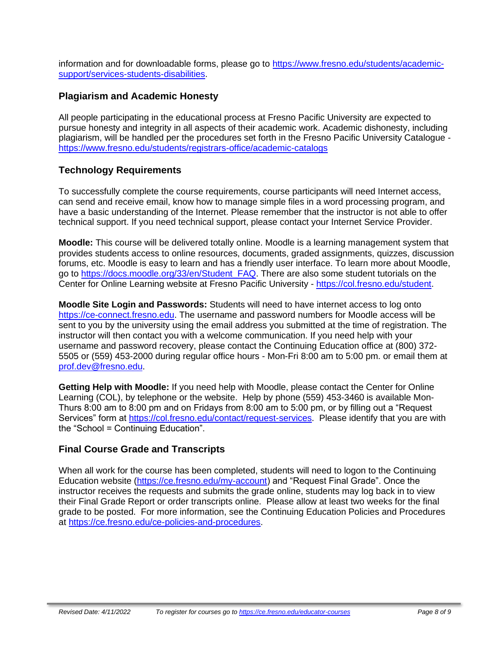information and for downloadable forms, please go to [https://www.fresno.edu/students/academic](https://www.fresno.edu/students/academic-support/services-students-disabilities)[support/services-students-disabilities.](https://www.fresno.edu/students/academic-support/services-students-disabilities)

## **Plagiarism and Academic Honesty**

All people participating in the educational process at Fresno Pacific University are expected to pursue honesty and integrity in all aspects of their academic work. Academic dishonesty, including plagiarism, will be handled per the procedures set forth in the Fresno Pacific University Catalogue <https://www.fresno.edu/students/registrars-office/academic-catalogs>

## **Technology Requirements**

To successfully complete the course requirements, course participants will need Internet access, can send and receive email, know how to manage simple files in a word processing program, and have a basic understanding of the Internet. Please remember that the instructor is not able to offer technical support. If you need technical support, please contact your Internet Service Provider.

**Moodle:** This course will be delivered totally online. Moodle is a learning management system that provides students access to online resources, documents, graded assignments, quizzes, discussion forums, etc. Moodle is easy to learn and has a friendly user interface. To learn more about Moodle, go to [https://docs.moodle.org/33/en/Student\\_FAQ.](https://docs.moodle.org/33/en/Student_FAQ) There are also some student tutorials on the Center for Online Learning website at Fresno Pacific University - [https://col.fresno.edu/student.](https://col.fresno.edu/student)

**Moodle Site Login and Passwords:** Students will need to have internet access to log onto [https://ce-connect.fresno.edu.](https://ce-connect.fresno.edu/) The username and password numbers for Moodle access will be sent to you by the university using the email address you submitted at the time of registration. The instructor will then contact you with a welcome communication. If you need help with your username and password recovery, please contact the Continuing Education office at (800) 372- 5505 or (559) 453-2000 during regular office hours - Mon-Fri 8:00 am to 5:00 pm. or email them at [prof.dev@fresno.edu.](mailto:prof.dev@fresno.edu)

**Getting Help with Moodle:** If you need help with Moodle, please contact the Center for Online Learning (COL), by telephone or the website. Help by phone (559) 453-3460 is available Mon-Thurs 8:00 am to 8:00 pm and on Fridays from 8:00 am to 5:00 pm, or by filling out a "Request Services" form at [https://col.fresno.edu/contact/request-services.](https://col.fresno.edu/contact/request-services) Please identify that you are with the "School = Continuing Education".

#### **Final Course Grade and Transcripts**

When all work for the course has been completed, students will need to logon to the Continuing Education website [\(https://ce.fresno.edu/my-account\)](https://ce.fresno.edu/my-account) and "Request Final Grade". Once the instructor receives the requests and submits the grade online, students may log back in to view their Final Grade Report or order transcripts online. Please allow at least two weeks for the final grade to be posted. For more information, see the Continuing Education Policies and Procedures at [https://ce.fresno.edu/ce-policies-and-procedures.](https://ce.fresno.edu/ce-policies-and-procedures)